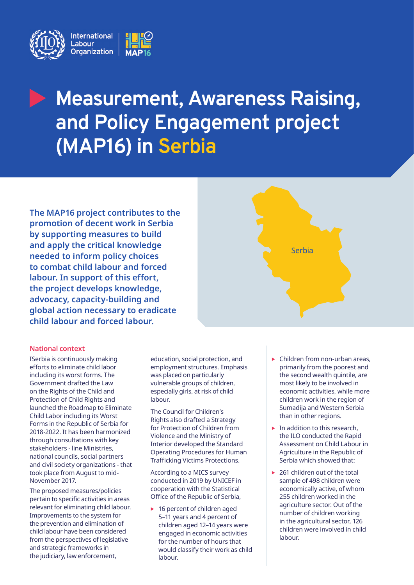

# **Measurement, Awareness Raising, and Policy Engagement project (MAP16) in Serbia**

**The MAP16 project contributes to the promotion of decent work in Serbia by supporting measures to build and apply the critical knowledge needed to inform policy choices to combat child labour and forced labour. In support of this effort, the project develops knowledge, advocacy, capacity-building and global action necessary to eradicate child labour and forced labour.**

### **National context**

ISerbia is continuously making efforts to eliminate child labor including its worst forms. The Government drafted the Law on the Rights of the Child and Protection of Child Rights and launched the Roadmap to Eliminate Child Labor including its Worst Forms in the Republic of Serbia for 2018-2022. It has been harmonized through consultations with key stakeholders - line Ministries, national councils, social partners and civil society organizations - that took place from August to mid-November 2017.

The proposed measures/policies pertain to specific activities in areas relevant for eliminating child labour. Improvements to the system for the prevention and elimination of child labour have been considered from the perspectives of legislative and strategic frameworks in the judiciary, law enforcement,

education, social protection, and employment structures. Emphasis was placed on particularly vulnerable groups of children, especially girls, at risk of child labour.

The Council for Children's Rights also drafted a Strategy for Protection of Children from Violence and the Ministry of Interior developed the Standard Operating Procedures for Human Trafficking Victims Protections.

According to a MICS survey conducted in 2019 by UNICEF in cooperation with the Statistical Office of the Republic of Serbia,

 $\blacktriangleright$  16 percent of children aged 5–11 years and 4 percent of children aged 12–14 years were engaged in economic activities for the number of hours that would classify their work as child labour.

Children from non-urban areas, primarily from the poorest and the second wealth quintile, are most likely to be involved in economic activities, while more children work in the region of Sumadija and Western Serbia than in other regions.

Serbia

- $\blacktriangleright$  In addition to this research, the ILO conducted the Rapid Assessment on Child Labour in Agriculture in the Republic of Serbia which showed that:
- $\triangleright$  261 children out of the total sample of 498 children were economically active, of whom 255 children worked in the agriculture sector. Out of the number of children working in the agricultural sector, 126 children were involved in child labour.